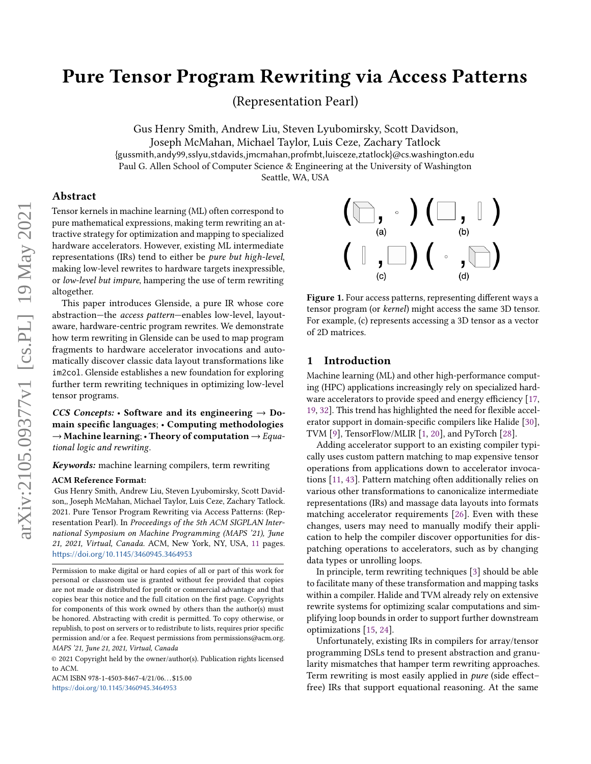# Pure Tensor Program Rewriting via Access Patterns

(Representation Pearl)

Gus Henry Smith, Andrew Liu, Steven Lyubomirsky, Scott Davidson,

Joseph McMahan, Michael Taylor, Luis Ceze, Zachary Tatlock {gussmith,andy99,sslyu,stdavids,jmcmahan,profmbt,luisceze,ztatlock}@cs.washington.edu Paul G. Allen School of Computer Science & Engineering at the University of Washington

Seattle, WA, USA

# Abstract

Tensor kernels in machine learning (ML) often correspond to pure mathematical expressions, making term rewriting an attractive strategy for optimization and mapping to specialized hardware accelerators. However, existing ML intermediate representations (IRs) tend to either be pure but high-level, making low-level rewrites to hardware targets inexpressible, or low-level but impure, hampering the use of term rewriting altogether.

This paper introduces Glenside, a pure IR whose core abstraction—the access pattern—enables low-level, layoutaware, hardware-centric program rewrites. We demonstrate how term rewriting in Glenside can be used to map program fragments to hardware accelerator invocations and automatically discover classic data layout transformations like im2col. Glenside establishes a new foundation for exploring further term rewriting techniques in optimizing low-level tensor programs.

CCS Concepts: • Software and its engineering  $\rightarrow$  Domain specific languages; • Computing methodologies  $\rightarrow$  Machine learning; • Theory of computation  $\rightarrow$  Equational logic and rewriting.

Keywords: machine learning compilers, term rewriting

## ACM Reference Format:

Gus Henry Smith, Andrew Liu, Steven Lyubomirsky, Scott Davidson,, Joseph McMahan, Michael Taylor, Luis Ceze, Zachary Tatlock. 2021. Pure Tensor Program Rewriting via Access Patterns: (Representation Pearl). In Proceedings of the 5th ACM SIGPLAN International Symposium on Machine Programming (MAPS '21), June 21, 2021, Virtual, Canada. ACM, New York, NY, USA, [11](#page-10-0) pages. <https://doi.org/10.1145/3460945.3464953>

ACM ISBN 978-1-4503-8467-4/21/06. . . \$15.00 <https://doi.org/10.1145/3460945.3464953>

<span id="page-0-0"></span>

Figure 1. Four access patterns, representing different ways a tensor program (or kernel) might access the same 3D tensor. For example, (c) represents accessing a 3D tensor as a vector of 2D matrices.

## 1 Introduction

Machine learning (ML) and other high-performance computing (HPC) applications increasingly rely on specialized hardware accelerators to provide speed and energy efficiency [\[17,](#page-8-0) [19,](#page-8-1) [32\]](#page-9-0). This trend has highlighted the need for flexible accelerator support in domain-specific compilers like Halide [\[30\]](#page-9-1), TVM [\[9\]](#page-8-2), TensorFlow/MLIR [\[1,](#page-8-3) [20\]](#page-8-4), and PyTorch [\[28\]](#page-9-2).

Adding accelerator support to an existing compiler typically uses custom pattern matching to map expensive tensor operations from applications down to accelerator invocations [\[11,](#page-8-5) [43\]](#page-9-3). Pattern matching often additionally relies on various other transformations to canonicalize intermediate representations (IRs) and massage data layouts into formats matching accelerator requirements [\[26\]](#page-9-4). Even with these changes, users may need to manually modify their application to help the compiler discover opportunities for dispatching operations to accelerators, such as by changing data types or unrolling loops.

In principle, term rewriting techniques [\[3\]](#page-8-6) should be able to facilitate many of these transformation and mapping tasks within a compiler. Halide and TVM already rely on extensive rewrite systems for optimizing scalar computations and simplifying loop bounds in order to support further downstream optimizations [\[15,](#page-8-7) [24\]](#page-9-5).

Unfortunately, existing IRs in compilers for array/tensor programming DSLs tend to present abstraction and granularity mismatches that hamper term rewriting approaches. Term rewriting is most easily applied in pure (side effect– free) IRs that support equational reasoning. At the same

Permission to make digital or hard copies of all or part of this work for personal or classroom use is granted without fee provided that copies are not made or distributed for profit or commercial advantage and that copies bear this notice and the full citation on the first page. Copyrights for components of this work owned by others than the author(s) must be honored. Abstracting with credit is permitted. To copy otherwise, or republish, to post on servers or to redistribute to lists, requires prior specific permission and/or a fee. Request permissions from permissions@acm.org. MAPS '21, June 21, 2021, Virtual, Canada

<sup>©</sup> 2021 Copyright held by the owner/author(s). Publication rights licensed to ACM.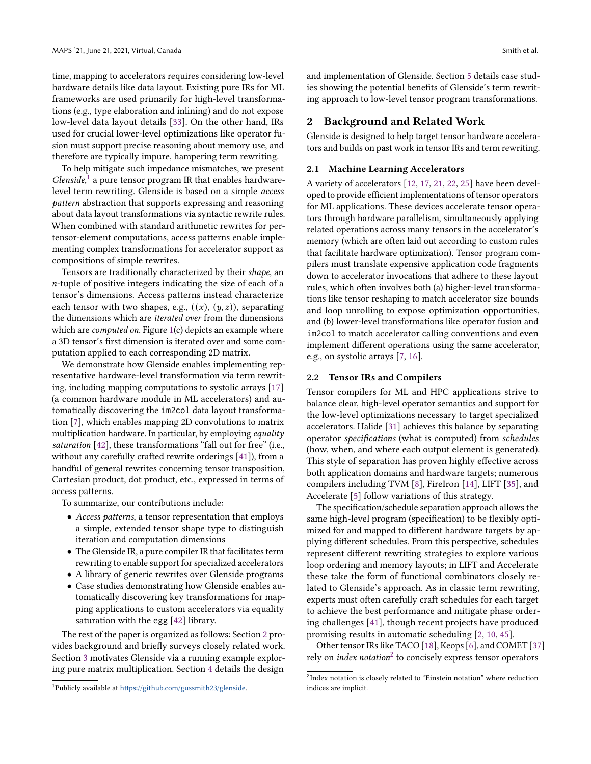time, mapping to accelerators requires considering low-level hardware details like data layout. Existing pure IRs for ML frameworks are used primarily for high-level transformations (e.g., type elaboration and inlining) and do not expose low-level data layout details [\[33\]](#page-9-6). On the other hand, IRs used for crucial lower-level optimizations like operator fusion must support precise reasoning about memory use, and therefore are typically impure, hampering term rewriting.

To help mitigate such impedance mismatches, we present  $Glenside, 1$  $Glenside, 1$  a pure tensor program IR that enables hardwarelevel term rewriting. Glenside is based on a simple access pattern abstraction that supports expressing and reasoning about data layout transformations via syntactic rewrite rules. When combined with standard arithmetic rewrites for pertensor-element computations, access patterns enable implementing complex transformations for accelerator support as compositions of simple rewrites.

Tensors are traditionally characterized by their shape, an -tuple of positive integers indicating the size of each of a tensor's dimensions. Access patterns instead characterize each tensor with two shapes, e.g.,  $((x), (y, z))$ , separating the dimensions which are iterated over from the dimensions which are *computed on*. Figure [1\(](#page-0-0)c) depicts an example where a 3D tensor's first dimension is iterated over and some computation applied to each corresponding 2D matrix.

We demonstrate how Glenside enables implementing representative hardware-level transformation via term rewriting, including mapping computations to systolic arrays [\[17\]](#page-8-0) (a common hardware module in ML accelerators) and automatically discovering the im2col data layout transformation [\[7\]](#page-8-8), which enables mapping 2D convolutions to matrix multiplication hardware. In particular, by employing equality saturation [\[42\]](#page-9-7), these transformations "fall out for free" (i.e., without any carefully crafted rewrite orderings [\[41\]](#page-9-8)), from a handful of general rewrites concerning tensor transposition, Cartesian product, dot product, etc., expressed in terms of access patterns.

To summarize, our contributions include:

- Access patterns, a tensor representation that employs a simple, extended tensor shape type to distinguish iteration and computation dimensions
- The Glenside IR, a pure compiler IR that facilitates term rewriting to enable support for specialized accelerators
- A library of generic rewrites over Glenside programs
- Case studies demonstrating how Glenside enables automatically discovering key transformations for mapping applications to custom accelerators via equality saturation with the egg [\[42\]](#page-9-7) library.

The rest of the paper is organized as follows: Section [2](#page-1-1) provides background and briefly surveys closely related work. Section [3](#page-2-0) motivates Glenside via a running example exploring pure matrix multiplication. Section [4](#page-3-0) details the design

<span id="page-1-0"></span><sup>1</sup>Publicly available at <https://github.com/gussmith23/glenside>.

and implementation of Glenside. Section [5](#page-4-0) details case studies showing the potential benefits of Glenside's term rewriting approach to low-level tensor program transformations.

# <span id="page-1-1"></span>2 Background and Related Work

Glenside is designed to help target tensor hardware accelerators and builds on past work in tensor IRs and term rewriting.

#### 2.1 Machine Learning Accelerators

A variety of accelerators [\[12,](#page-8-9) [17,](#page-8-0) [21,](#page-8-10) [22,](#page-8-11) [25\]](#page-9-9) have been developed to provide efficient implementations of tensor operators for ML applications. These devices accelerate tensor operators through hardware parallelism, simultaneously applying related operations across many tensors in the accelerator's memory (which are often laid out according to custom rules that facilitate hardware optimization). Tensor program compilers must translate expensive application code fragments down to accelerator invocations that adhere to these layout rules, which often involves both (a) higher-level transformations like tensor reshaping to match accelerator size bounds and loop unrolling to expose optimization opportunities, and (b) lower-level transformations like operator fusion and im2col to match accelerator calling conventions and even implement different operations using the same accelerator, e.g., on systolic arrays [\[7,](#page-8-8) [16\]](#page-8-12).

## 2.2 Tensor IRs and Compilers

Tensor compilers for ML and HPC applications strive to balance clear, high-level operator semantics and support for the low-level optimizations necessary to target specialized accelerators. Halide [\[31\]](#page-9-10) achieves this balance by separating operator specifications (what is computed) from schedules (how, when, and where each output element is generated). This style of separation has proven highly effective across both application domains and hardware targets; numerous compilers including TVM [\[8\]](#page-8-13), FireIron [\[14\]](#page-8-14), LIFT [\[35\]](#page-9-11), and Accelerate [\[5\]](#page-8-15) follow variations of this strategy.

The specification/schedule separation approach allows the same high-level program (specification) to be flexibly optimized for and mapped to different hardware targets by applying different schedules. From this perspective, schedules represent different rewriting strategies to explore various loop ordering and memory layouts; in LIFT and Accelerate these take the form of functional combinators closely related to Glenside's approach. As in classic term rewriting, experts must often carefully craft schedules for each target to achieve the best performance and mitigate phase ordering challenges [\[41\]](#page-9-8), though recent projects have produced promising results in automatic scheduling [\[2,](#page-8-16) [10,](#page-8-17) [45\]](#page-9-12).

Other tensor IRs like TACO [\[18\]](#page-8-18), Keops [\[6\]](#page-8-19), and COMET [\[37\]](#page-9-13) rely on *index notation*<sup>[2](#page-1-2)</sup> to concisely express tensor operators

<span id="page-1-2"></span><sup>&</sup>lt;sup>2</sup>Index notation is closely related to "Einstein notation" where reduction indices are implicit.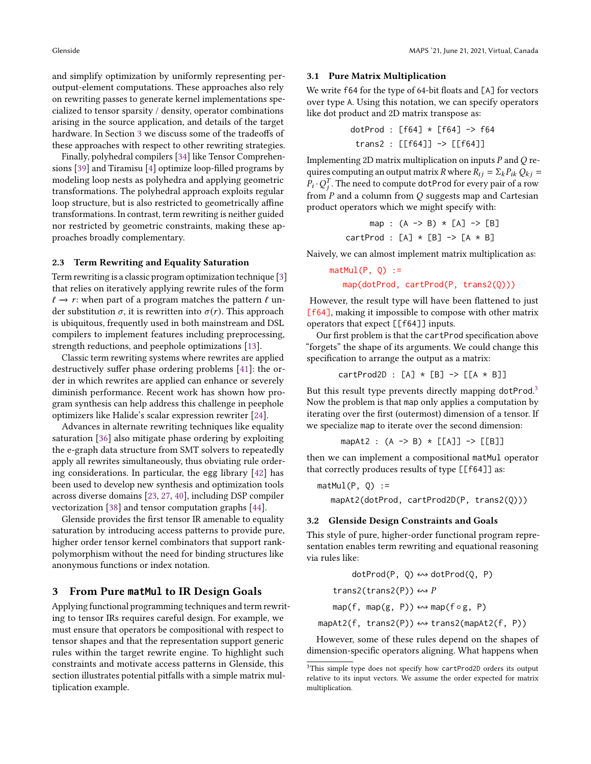and simplify optimization by uniformly representing peroutput-element computations. These approaches also rely on rewriting passes to generate kernel implementations specialized to tensor sparsity / density, operator combinations arising in the source application, and details of the target hardware. In Section [3](#page-2-0) we discuss some of the tradeoffs of these approaches with respect to other rewriting strategies.

Finally, polyhedral compilers [\[34\]](#page-9-14) like Tensor Comprehensions [\[39\]](#page-9-15) and Tiramisu [\[4\]](#page-8-20) optimize loop-filled programs by modeling loop nests as polyhedra and applying geometric transformations. The polyhedral approach exploits regular loop structure, but is also restricted to geometrically affine transformations. In contrast, term rewriting is neither guided nor restricted by geometric constraints, making these approaches broadly complementary.

## 2.3 Term Rewriting and Equality Saturation

Term rewriting is a classic program optimization technique [\[3\]](#page-8-6) that relies on iteratively applying rewrite rules of the form  $\ell \rightarrow r$ : when part of a program matches the pattern  $\ell$  under substitution  $\sigma$ , it is rewritten into  $\sigma(r)$ . This approach is ubiquitous, frequently used in both mainstream and DSL compilers to implement features including preprocessing, strength reductions, and peephole optimizations [\[13\]](#page-8-21).

Classic term rewriting systems where rewrites are applied destructively suffer phase ordering problems [\[41\]](#page-9-8): the order in which rewrites are applied can enhance or severely diminish performance. Recent work has shown how program synthesis can help address this challenge in peephole optimizers like Halide's scalar expression rewriter [\[24\]](#page-9-5).

Advances in alternate rewriting techniques like equality saturation [\[36\]](#page-9-16) also mitigate phase ordering by exploiting the e-graph data structure from SMT solvers to repeatedly apply all rewrites simultaneously, thus obviating rule ordering considerations. In particular, the egg library [\[42\]](#page-9-7) has been used to develop new synthesis and optimization tools across diverse domains [\[23,](#page-9-17) [27,](#page-9-18) [40\]](#page-9-19), including DSP compiler vectorization [\[38\]](#page-9-20) and tensor computation graphs [\[44\]](#page-9-21).

Glenside provides the first tensor IR amenable to equality saturation by introducing access patterns to provide pure, higher order tensor kernel combinators that support rankpolymorphism without the need for binding structures like anonymous functions or index notation.

# <span id="page-2-0"></span>3 From Pure **matMul** to IR Design Goals

Applying functional programming techniques and term rewriting to tensor IRs requires careful design. For example, we must ensure that operators be compositional with respect to tensor shapes and that the representation support generic rules within the target rewrite engine. To highlight such constraints and motivate access patterns in Glenside, this section illustrates potential pitfalls with a simple matrix multiplication example.

#### <span id="page-2-2"></span>3.1 Pure Matrix Multiplication

We write f64 for the type of 64-bit floats and [A] for vectors over type A. Using this notation, we can specify operators like dot product and 2D matrix transpose as:

$$
dotProd : [f64] * [f64] -> f64
$$
  
\n $trans2 : [[f64]] -> [[f64]]$ 

Implementing 2D matrix multiplication on inputs  $P$  and  $Q$  requires computing an output matrix R where  $R_{ij} = \sum_k P_{ik} Q_{ki} =$  $\overline{P}_i \cdot Q_i^T$ . The need to compute dotProd for every pair of a row from  $P$  and a column from  $Q$  suggests map and Cartesian product operators which we might specify with:

> map :  $(A \rightarrow B) * [A] \rightarrow [B]$ cartProd :  $[A] * [B] \rightarrow [A * B]$

Naively, we can almost implement matrix multiplication as:

 $mathU(P, Q) :=$ map(dotProd, cartProd(P, trans2(Q)))

However, the result type will have been flattened to just [f64], making it impossible to compose with other matrix operators that expect [[f64]] inputs.

Our first problem is that the cartProd specification above "forgets" the shape of its arguments. We could change this specification to arrange the output as a matrix:

$$
cartProd2D : [A] * [B] \rightarrow [[A * B]]
$$

But this result type prevents directly mapping dotProd.<sup>[3](#page-2-1)</sup> Now the problem is that map only applies a computation by iterating over the first (outermost) dimension of a tensor. If we specialize map to iterate over the second dimension:

mapAt2 : 
$$
(A \rightarrow B) * [[A]] \rightarrow [[B]]
$$

then we can implement a compositional matMul operator that correctly produces results of type [[f64]] as:

 $mathU(P, Q) :=$ mapAt2(dotProd, cartProd2D(P, trans2(Q)))

#### 3.2 Glenside Design Constraints and Goals

This style of pure, higher-order functional program representation enables term rewriting and equational reasoning via rules like:

$$
\begin{aligned}\n\text{dotProd}(P, Q) &\leftrightarrow \text{dotProd}(Q, P) \\
\text{trans2}(\text{trans2}(P)) &\leftrightarrow P \\
\text{map}(f, \text{map}(g, P)) &\leftrightarrow \text{map}(f \circ g, P) \\
\text{mapAt2}(f, \text{trans2}(P)) &\leftrightarrow \text{trans2}(\text{mapAt2}(f, P))\n\end{aligned}
$$

However, some of these rules depend on the shapes of dimension-specific operators aligning. What happens when

<span id="page-2-1"></span><sup>&</sup>lt;sup>3</sup>This simple type does not specify how cartProd2D orders its output relative to its input vectors. We assume the order expected for matrix multiplication.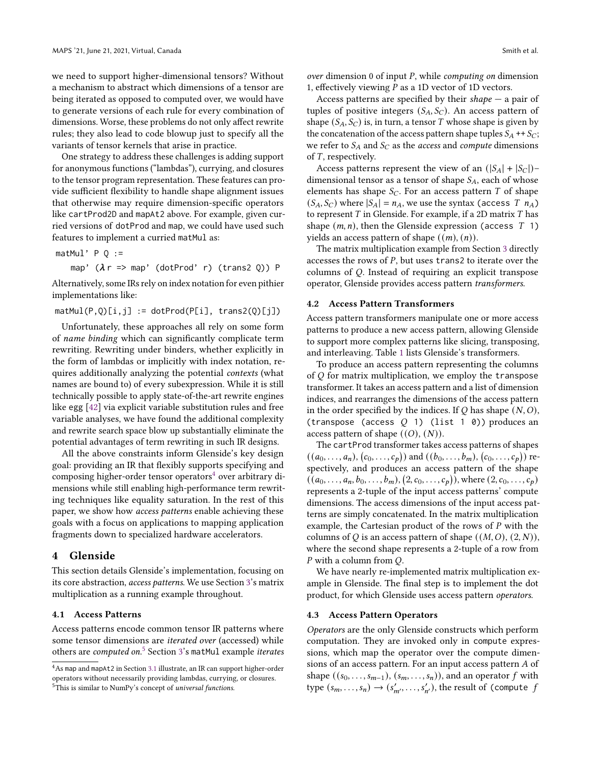we need to support higher-dimensional tensors? Without a mechanism to abstract which dimensions of a tensor are being iterated as opposed to computed over, we would have to generate versions of each rule for every combination of dimensions. Worse, these problems do not only affect rewrite rules; they also lead to code blowup just to specify all the variants of tensor kernels that arise in practice.

One strategy to address these challenges is adding support for anonymous functions ("lambdas"), currying, and closures to the tensor program representation. These features can provide sufficient flexibility to handle shape alignment issues that otherwise may require dimension-specific operators like cartProd2D and mapAt2 above. For example, given curried versions of dotProd and map, we could have used such features to implement a curried matMul as:

 $mathU \cdot P Q :=$ 

map'  $(\lambda r \Rightarrow$  map' (dotProd' r) (trans2 0)) P

Alternatively, some IRs rely on index notation for even pithier implementations like:

#### $mathU(P,Q)[i,j] := dotProd(P[i], trans2(Q)[j])$

Unfortunately, these approaches all rely on some form of name binding which can significantly complicate term rewriting. Rewriting under binders, whether explicitly in the form of lambdas or implicitly with index notation, requires additionally analyzing the potential contexts (what names are bound to) of every subexpression. While it is still technically possible to apply state-of-the-art rewrite engines like egg [\[42\]](#page-9-7) via explicit variable substitution rules and free variable analyses, we have found the additional complexity and rewrite search space blow up substantially eliminate the potential advantages of term rewriting in such IR designs.

All the above constraints inform Glenside's key design goal: providing an IR that flexibly supports specifying and composing higher-order tensor operators<sup>[4](#page-3-1)</sup> over arbitrary dimensions while still enabling high-performance term rewriting techniques like equality saturation. In the rest of this paper, we show how access patterns enable achieving these goals with a focus on applications to mapping application fragments down to specialized hardware accelerators.

## <span id="page-3-0"></span>4 Glenside

This section details Glenside's implementation, focusing on its core abstraction, access patterns. We use Section [3'](#page-2-0)s matrix multiplication as a running example throughout.

## 4.1 Access Patterns

Access patterns encode common tensor IR patterns where some tensor dimensions are iterated over (accessed) while others are *computed on.*<sup>[5](#page-3-2)</sup> Section [3'](#page-2-0)s matMul example *iterates*  over dimension 0 of input  $P$ , while *computing on* dimension 1, effectively viewing  $P$  as a 1D vector of 1D vectors.

Access patterns are specified by their shape  $-$  a pair of tuples of positive integers  $(S_A, S_C)$ . An access pattern of shape  $(S_A, S_C)$  is, in turn, a tensor T whose shape is given by the concatenation of the access pattern shape tuples  $S_A$  ++  $S_C$ ; we refer to  $S_A$  and  $S_C$  as the *access* and *compute* dimensions of  $T$ , respectively.

Access patterns represent the view of an  $(|S_A| + |S_C|)$ – dimensional tensor as a tensor of shape  $S_A$ , each of whose elements has shape  $S_C$ . For an access pattern T of shape  $(S_A, S_C)$  where  $|S_A| = n_A$ , we use the syntax (access T  $n_A$ ) to represent  $T$  in Glenside. For example, if a 2D matrix  $T$  has shape  $(m, n)$ , then the Glenside expression (access  $T$  1) yields an access pattern of shape  $((m), (n))$ .

The matrix multiplication example from Section [3](#page-2-0) directly accesses the rows of  $P$ , but uses trans2 to iterate over the columns of Q. Instead of requiring an explicit transpose operator, Glenside provides access pattern transformers.

## 4.2 Access Pattern Transformers

Access pattern transformers manipulate one or more access patterns to produce a new access pattern, allowing Glenside to support more complex patterns like slicing, transposing, and interleaving. Table [1](#page-4-1) lists Glenside's transformers.

To produce an access pattern representing the columns of  $Q$  for matrix multiplication, we employ the transpose transformer. It takes an access pattern and a list of dimension indices, and rearranges the dimensions of the access pattern in the order specified by the indices. If  $Q$  has shape  $(N, 0)$ , (transpose (access  $Q$  1) (list 1 0)) produces an access pattern of shape  $((O), (N))$ .

The cartProd transformer takes access patterns of shapes  $((a_0, \ldots, a_n), (c_0, \ldots, c_p))$  and  $((b_0, \ldots, b_m), (c_0, \ldots, c_p))$  respectively, and produces an access pattern of the shape  $((a_0, \ldots, a_n, b_0, \ldots, b_m), (2, c_0, \ldots, c_p)),$  where  $(2, c_0, \ldots, c_p)$ represents a 2-tuple of the input access patterns' compute dimensions. The access dimensions of the input access patterns are simply concatenated. In the matrix multiplication example, the Cartesian product of the rows of  $P$  with the columns of Q is an access pattern of shape  $((M, O), (2, N)),$ where the second shape represents a 2-tuple of a row from  $P$  with a column from  $Q$ .

We have nearly re-implemented matrix multiplication example in Glenside. The final step is to implement the dot product, for which Glenside uses access pattern operators.

#### 4.3 Access Pattern Operators

Operators are the only Glenside constructs which perform computation. They are invoked only in compute expressions, which map the operator over the compute dimensions of an access pattern. For an input access pattern  $A$  of shape  $((s_0, \ldots, s_{m-1}), (s_m, \ldots, s_n))$ , and an operator  $f$  with type  $(s_m, \ldots, s_n) \rightarrow (s'_{m'}, \ldots, s'_{n'})$ , the result of (compute f

<span id="page-3-2"></span><span id="page-3-1"></span> $^4\mathrm{As}$  map and mapAt2 in Section [3.1](#page-2-2) illustrate, an IR can support higher-order operators without necessarily providing lambdas, currying, or closures. <sup>5</sup>This is similar to NumPy's concept of *universal functions*.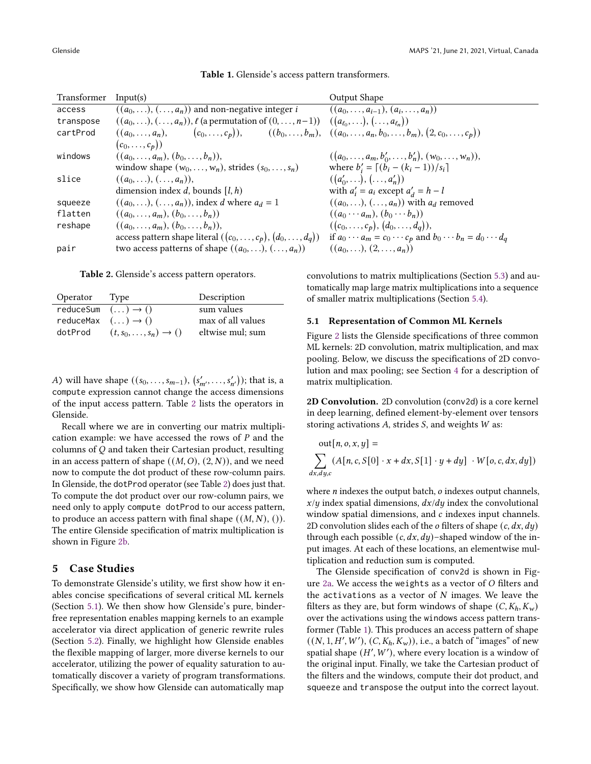<span id="page-4-1"></span>

| Transformer | Input(s)                                                                                                                                    | Output Shape                                                               |
|-------------|---------------------------------------------------------------------------------------------------------------------------------------------|----------------------------------------------------------------------------|
| access      | $((a_0, \ldots), (\ldots, a_n))$ and non-negative integer <i>i</i>                                                                          | $((a_0, \ldots, a_{i-1}), (a_i, \ldots, a_n))$                             |
| transpose   | $((a_0,\ldots),(\ldots,a_n)), \ell$ (a permutation of $(0,\ldots,n-1))$ )                                                                   | $((a_{\ell_0},),(,a_{\ell_n}))$                                            |
| cartProd    | $((a_0, \ldots, a_n), \quad (c_0, \ldots, c_p)), \quad ((b_0, \ldots, b_m), ((a_0, \ldots, a_n, b_0, \ldots, b_m), (2, c_0, \ldots, c_p)))$ |                                                                            |
|             | $(c_0,\ldots,c_p))$                                                                                                                         |                                                                            |
| windows     | $((a_0, \ldots, a_m), (b_0, \ldots, b_n)),$                                                                                                 | $((a_0, \ldots, a_m, b'_0, \ldots, b'_n), (w_0, \ldots, w_n)),$            |
|             | window shape $(w_0, \ldots, w_n)$ , strides $(s_0, \ldots, s_n)$                                                                            | where $b'_i = [(b_i - (k_i - 1))/s_i]$                                     |
| slice       | $((a_0,), (, a_n)),$                                                                                                                        | $((a'_0,), (, a'_n))$                                                      |
|             | dimension index d, bounds $(l, h)$                                                                                                          | with $a'_i = a_i$ except $a'_j = h - l$                                    |
| squeeze     | $((a_0,), (, a_n))$ , index d where $a_d = 1$                                                                                               | $((a_0,\ldots),(\ldots,a_n))$ with $a_d$ removed                           |
| flatten     | $((a_0, \ldots, a_m), (b_0, \ldots, b_n))$                                                                                                  | $((a_0\cdots a_m), (b_0\cdots b_n))$                                       |
| reshape     | $((a_0, \ldots, a_m), (b_0, \ldots, b_n)),$                                                                                                 | $((c_0, \ldots, c_p), (d_0, \ldots, d_q)),$                                |
|             | access pattern shape literal $((c_0, , c_p), (d_0, , d_q))$                                                                                 | if $a_0 \cdots a_m = c_0 \cdots c_p$ and $b_0 \cdots b_n = d_0 \cdots d_q$ |
| pair        | two access patterns of shape $((a_0, \ldots), (\ldots, a_n))$                                                                               | $((a_0,), (2,, a_n))$                                                      |

Table 1. Glenside's access pattern transformers.

<span id="page-4-2"></span>Table 2. Glenside's access pattern operators.

| Operator                             | Type                                   | Description       |
|--------------------------------------|----------------------------------------|-------------------|
| reduceSum $( \dots ) \rightarrow ()$ |                                        | sum values        |
| reduceMax $( \dots ) \rightarrow ()$ |                                        | max of all values |
| dotProd                              | $(t, s_0, \ldots, s_n) \rightarrow ()$ | eltwise mul; sum  |

A) will have shape  $((s_0, \ldots, s_{m-1}), (s'_{m'}, \ldots, s'_{n'}))$ ; that is, a compute expression cannot change the access dimensions of the input access pattern. Table [2](#page-4-2) lists the operators in Glenside.

Recall where we are in converting our matrix multiplication example: we have accessed the rows of  $P$  and the columns of  $Q$  and taken their Cartesian product, resulting in an access pattern of shape  $((M, O), (2, N))$ , and we need now to compute the dot product of these row-column pairs. In Glenside, the dotProd operator (see Table [2\)](#page-4-2) does just that. To compute the dot product over our row-column pairs, we need only to apply compute dotProd to our access pattern, to produce an access pattern with final shape  $((M, N), ()$ . The entire Glenside specification of matrix multiplication is shown in Figure [2b.](#page-5-0)

# <span id="page-4-0"></span>5 Case Studies

To demonstrate Glenside's utility, we first show how it enables concise specifications of several critical ML kernels (Section [5.1\)](#page-4-3). We then show how Glenside's pure, binderfree representation enables mapping kernels to an example accelerator via direct application of generic rewrite rules (Section [5.2\)](#page-5-1). Finally, we highlight how Glenside enables the flexible mapping of larger, more diverse kernels to our accelerator, utilizing the power of equality saturation to automatically discover a variety of program transformations. Specifically, we show how Glenside can automatically map

convolutions to matrix multiplications (Section [5.3\)](#page-6-0) and automatically map large matrix multiplications into a sequence of smaller matrix multiplications (Section [5.4\)](#page-7-0).

## <span id="page-4-3"></span>5.1 Representation of Common ML Kernels

Figure [2](#page-5-0) lists the Glenside specifications of three common ML kernels: 2D convolution, matrix multiplication, and max pooling. Below, we discuss the specifications of 2D convolution and max pooling; see Section [4](#page-3-0) for a description of matrix multiplication.

2D Convolution. 2D convolution (conv2d) is a core kernel in deep learning, defined element-by-element over tensors storing activations  $A$ , strides  $S$ , and weights  $W$  as:

out[*n*, *o*, *x*, *y*] =  
\n
$$
\sum_{dx,dy,c} (A[n,c,S[0] \cdot x + dx, S[1] \cdot y + dy] \cdot W[o,c,dx,dy])
$$

where  $n$  indexes the output batch,  $o$  indexes output channels,  $x/y$  index spatial dimensions,  $dx/dy$  index the convolutional window spatial dimensions, and  $c$  indexes input channels. 2D convolution slides each of the  $o$  filters of shape  $(c, dx, dy)$ through each possible  $(c, dx, dy)$ –shaped window of the input images. At each of these locations, an elementwise multiplication and reduction sum is computed.

The Glenside specification of conv2d is shown in Fig-ure [2a.](#page-5-0) We access the weights as a vector of  $O$  filters and the activations as a vector of  $N$  images. We leave the filters as they are, but form windows of shape  $(C, K_h, K_w)$ over the activations using the windows access pattern transformer (Table [1\)](#page-4-1). This produces an access pattern of shape  $((N, 1, H', W'), (C, K_h, K_w)),$  i.e., a batch of "images" of new spatial shape  $(H', W')$ , where every location is a window of the original input. Finally, we take the Cartesian product of the filters and the windows, compute their dot product, and squeeze and transpose the output into the correct layout.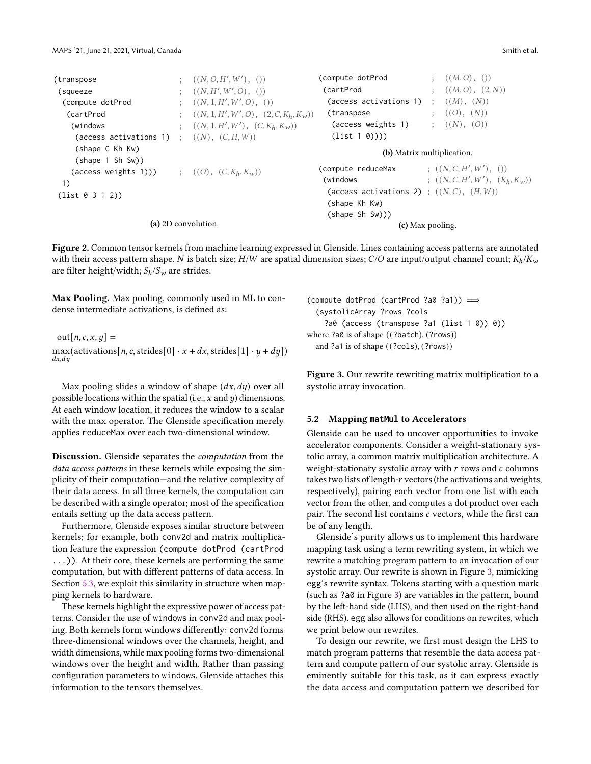```
(transpose ; ((N, O, H', W'), () )(squeeze
                                   , W', O), ())
 (compute dotProd
                                     , W', O), ())
  (\text{cartProd} ; ((N, 1, H', W', O), (2, C, K_h, K_w))(windows ; ((N, 1, H', W'), (C, K_h, K_w))(access activations 1) ; ((N), (C, H, W))(shape C Kh Kw)
    (shape 1 Sh Sw))
   (access weights 1))) ; ((O), (C, K_h, K_w))1)
(list 0 3 1 2))
                    (a) 2D convolution.
                                                        (compute dotProd ; ((M,O),())( \text{CartProd} ; ((M, O), (2, N))(access activations 1) ; ((M), (N))(transpose ; ((O), (N))(access weights 1) ;(N), (O))(list 1 0))))
                                                                      (b) Matrix multiplication.
                                                        (compute reduceMax
                                                                                         , W', ())
                                                         (windows ; ((N, C, H', W'), (K_h, K_w))(access activations 2) ; ((N, C), (H, W))(shape Kh Kw)
                                                          (shape Sh Sw)))
                                                                         (c) Max pooling.
```
Figure 2. Common tensor kernels from machine learning expressed in Glenside. Lines containing access patterns are annotated with their access pattern shape. N is batch size;  $H/W$  are spatial dimension sizes;  $C/O$  are input/output channel count;  $K_h/K_w$ are filter height/width;  $S_h/S_w$  are strides.

Max Pooling. Max pooling, commonly used in ML to condense intermediate activations, is defined as:

 $out[n, c, x, y] =$  $\max(\text{activations}[n, c, \text{strides}[0] \cdot x + dx, \text{strides}[1] \cdot y + dy])$  $dx, dy$ 

Max pooling slides a window of shape  $(dx, dy)$  over all possible locations within the spatial (i.e.,  $x$  and  $y$ ) dimensions. At each window location, it reduces the window to a scalar with the max operator. The Glenside specification merely applies reduceMax over each two-dimensional window.

Discussion. Glenside separates the computation from the data access patterns in these kernels while exposing the simplicity of their computation—and the relative complexity of their data access. In all three kernels, the computation can be described with a single operator; most of the specification entails setting up the data access pattern.

Furthermore, Glenside exposes similar structure between kernels; for example, both conv2d and matrix multiplication feature the expression (compute dotProd (cartProd ...)). At their core, these kernels are performing the same computation, but with different patterns of data access. In Section [5.3,](#page-6-0) we exploit this similarity in structure when mapping kernels to hardware.

These kernels highlight the expressive power of access patterns. Consider the use of windows in conv2d and max pooling. Both kernels form windows differently: conv2d forms three-dimensional windows over the channels, height, and width dimensions, while max pooling forms two-dimensional windows over the height and width. Rather than passing configuration parameters to windows, Glenside attaches this information to the tensors themselves.

<span id="page-5-2"></span>(compute dotProd (cartProd ?a0 ?a1)) =⇒ (systolicArray ?rows ?cols ?a0 (access (transpose ?a1 (list 1 0)) 0)) where ?a0 is of shape ((?batch), (?rows)) and ?a1 is of shape ((?cols), (?rows))

Figure 3. Our rewrite rewriting matrix multiplication to a systolic array invocation.

#### <span id="page-5-1"></span>5.2 Mapping **matMul** to Accelerators

Glenside can be used to uncover opportunities to invoke accelerator components. Consider a weight-stationary systolic array, a common matrix multiplication architecture. A weight-stationary systolic array with  $r$  rows and  $c$  columns takes two lists of length- $r$  vectors (the activations and weights, respectively), pairing each vector from one list with each vector from the other, and computes a dot product over each pair. The second list contains  $c$  vectors, while the first can be of any length.

Glenside's purity allows us to implement this hardware mapping task using a term rewriting system, in which we rewrite a matching program pattern to an invocation of our systolic array. Our rewrite is shown in Figure [3,](#page-5-2) mimicking egg's rewrite syntax. Tokens starting with a question mark (such as ?a0 in Figure [3\)](#page-5-2) are variables in the pattern, bound by the left-hand side (LHS), and then used on the right-hand side (RHS). egg also allows for conditions on rewrites, which we print below our rewrites.

To design our rewrite, we first must design the LHS to match program patterns that resemble the data access pattern and compute pattern of our systolic array. Glenside is eminently suitable for this task, as it can express exactly the data access and computation pattern we described for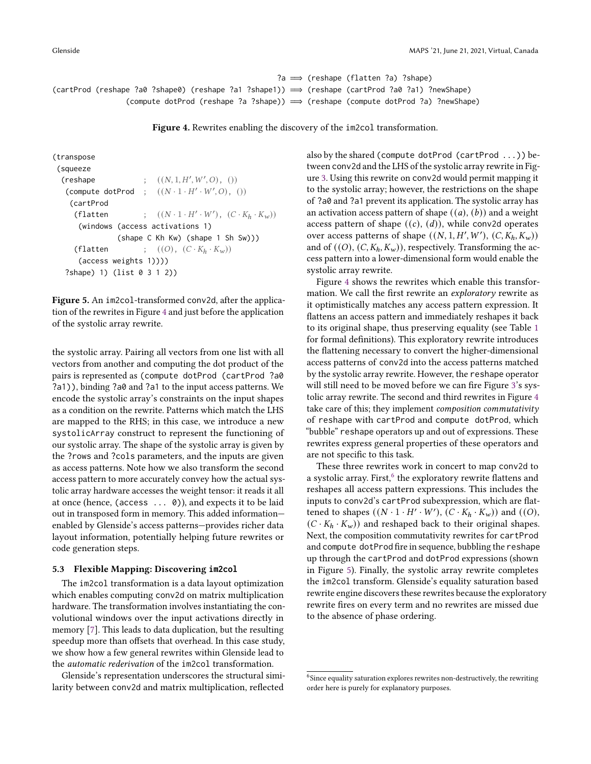```
?a =⇒ (reshape (flatten ?a) ?shape)
(cartProd (reshape ?a0 ?shape0) (reshape ?a1 ?shape1)) =⇒ (reshape (cartProd ?a0 ?a1) ?newShape)
                (compute dotProd (reshape ?a ?shape)) =⇒ (reshape (compute dotProd ?a) ?newShape)
```
Figure 4. Rewrites enabling the discovery of the im2col transformation.

```
(transpose
 (squeeze
  (\text{reshape} \qquad ; \quad ((N, 1, H', W', O), \quad ))(compute dotProd ; ((N \cdot 1 \cdot H' \cdot W', O), 0))
    (cartProd
      (flatten ; ((N \cdot 1 \cdot H' \cdot W'), (C \cdot K_h \cdot K_w))(windows (access activations 1)
                  (shape C Kh Kw) (shape 1 Sh Sw)))
     (flatten ; ((O), (C \cdot K_h \cdot K_w))(access weights 1))))
   ?shape) 1) (list 0 3 1 2))
```
Figure 5. An im2col-transformed conv2d, after the application of the rewrites in Figure [4](#page-6-1) and just before the application of the systolic array rewrite.

the systolic array. Pairing all vectors from one list with all vectors from another and computing the dot product of the pairs is represented as (compute dotProd (cartProd ?a0 ?a1)), binding ?a0 and ?a1 to the input access patterns. We encode the systolic array's constraints on the input shapes as a condition on the rewrite. Patterns which match the LHS are mapped to the RHS; in this case, we introduce a new systolicArray construct to represent the functioning of our systolic array. The shape of the systolic array is given by the ?rows and ?cols parameters, and the inputs are given as access patterns. Note how we also transform the second access pattern to more accurately convey how the actual systolic array hardware accesses the weight tensor: it reads it all at once (hence, (access ... 0)), and expects it to be laid out in transposed form in memory. This added information enabled by Glenside's access patterns—provides richer data layout information, potentially helping future rewrites or code generation steps.

#### <span id="page-6-0"></span>5.3 Flexible Mapping: Discovering **im2col**

The im2col transformation is a data layout optimization which enables computing conv2d on matrix multiplication hardware. The transformation involves instantiating the convolutional windows over the input activations directly in memory [\[7\]](#page-8-8). This leads to data duplication, but the resulting speedup more than offsets that overhead. In this case study, we show how a few general rewrites within Glenside lead to the automatic rederivation of the im2col transformation.

Glenside's representation underscores the structural similarity between conv2d and matrix multiplication, reflected

also by the shared (compute dotProd (cartProd ...)) between conv2d and the LHS of the systolic array rewrite in Figure [3.](#page-5-2) Using this rewrite on conv2d would permit mapping it to the systolic array; however, the restrictions on the shape of ?a0 and ?a1 prevent its application. The systolic array has an activation access pattern of shape  $((a), (b))$  and a weight access pattern of shape  $((c), (d))$ , while conv2d operates over access patterns of shape  $((N, 1, H', W'), (C, K_h, K_w))$ and of  $((O), (C, K_h, K_w))$ , respectively. Transforming the access pattern into a lower-dimensional form would enable the systolic array rewrite.

Figure [4](#page-6-1) shows the rewrites which enable this transformation. We call the first rewrite an exploratory rewrite as it optimistically matches any access pattern expression. It flattens an access pattern and immediately reshapes it back to its original shape, thus preserving equality (see Table [1](#page-4-1) for formal definitions). This exploratory rewrite introduces the flattening necessary to convert the higher-dimensional access patterns of conv2d into the access patterns matched by the systolic array rewrite. However, the reshape operator will still need to be moved before we can fire Figure [3'](#page-5-2)s systolic array rewrite. The second and third rewrites in Figure [4](#page-6-1) take care of this; they implement composition commutativity of reshape with cartProd and compute dotProd, which "bubble" reshape operators up and out of expressions. These rewrites express general properties of these operators and are not specific to this task.

These three rewrites work in concert to map conv2d to a systolic array. First, $6$  the exploratory rewrite flattens and reshapes all access pattern expressions. This includes the inputs to conv2d's cartProd subexpression, which are flattened to shapes  $((N \cdot 1 \cdot H' \cdot W'), (C \cdot K_h \cdot K_w))$  and  $((O),$  $(C \cdot K_h \cdot K_w)$  and reshaped back to their original shapes. Next, the composition commutativity rewrites for cartProd and compute dotProd fire in sequence, bubbling the reshape up through the cartProd and dotProd expressions (shown in Figure [5\)](#page-6-3). Finally, the systolic array rewrite completes the im2col transform. Glenside's equality saturation based rewrite engine discovers these rewrites because the exploratory rewrite fires on every term and no rewrites are missed due to the absence of phase ordering.

<span id="page-6-2"></span> $^6$  Since equality saturation explores rewrites non-destructively, the rewriting order here is purely for explanatory purposes.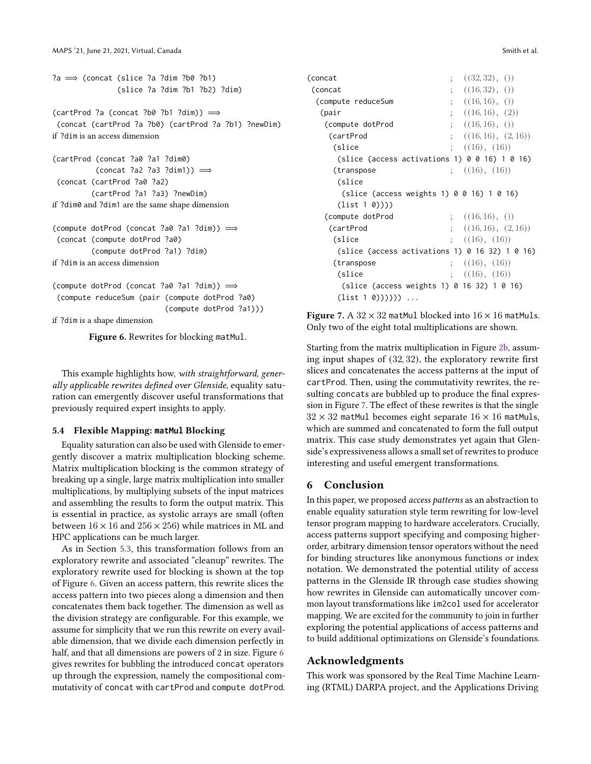```
?a =⇒ (concat (slice ?a ?dim ?b0 ?b1)
              (slice ?a ?dim ?b1 ?b2) ?dim)
```

```
(\text{cartProd ?a (concat ?b0 ?b1 ?dim)) \implies(concat (cartProd ?a ?b0) (cartProd ?a ?b1) ?newDim)
if ?dim is an access dimension
```

```
(cartProd (concat ?a0 ?a1 ?dim0)
          (concat ?a2 ?a3 ?dim1)) \implies(concat (cartProd ?a0 ?a2)
         (cartProd ?a1 ?a3) ?newDim)
if ?dim0 and ?dim1 are the same shape dimension
(compute dotProd (concat ?a0 ?a1 ?dim)) =⇒
```

```
(concat (compute dotProd ?a0)
          (compute dotProd ?a1) ?dim)
if ?dim is an access dimension
```

```
(compute dotProd (concat ?a0 ?a1 ?dim)) =⇒
(compute reduceSum (pair (compute dotProd ?a0)
                          (compute dotProd ?a1)))
```
if ?dim is a shape dimension

Figure 6. Rewrites for blocking matMul.

This example highlights how, with straightforward, generally applicable rewrites defined over Glenside, equality saturation can emergently discover useful transformations that previously required expert insights to apply.

## <span id="page-7-0"></span>5.4 Flexible Mapping: **matMul** Blocking

Equality saturation can also be used with Glenside to emergently discover a matrix multiplication blocking scheme. Matrix multiplication blocking is the common strategy of breaking up a single, large matrix multiplication into smaller multiplications, by multiplying subsets of the input matrices and assembling the results to form the output matrix. This is essential in practice, as systolic arrays are small (often between  $16 \times 16$  and  $256 \times 256$ ) while matrices in ML and HPC applications can be much larger.

As in Section [5.3,](#page-6-0) this transformation follows from an exploratory rewrite and associated "cleanup" rewrites. The exploratory rewrite used for blocking is shown at the top of Figure [6.](#page-7-1) Given an access pattern, this rewrite slices the access pattern into two pieces along a dimension and then concatenates them back together. The dimension as well as the division strategy are configurable. For this example, we assume for simplicity that we run this rewrite on every available dimension, that we divide each dimension perfectly in half, and that all dimensions are powers of 2 in size. Figure [6](#page-7-1) gives rewrites for bubbling the introduced concat operators up through the expression, namely the compositional commutativity of concat with cartProd and compute dotProd.

<span id="page-7-2"></span>

| (concat                                             | $(32,32)$ , ()     |
|-----------------------------------------------------|--------------------|
| (concat                                             | (16, 32), ()       |
| (compute reduceSum                                  | (16, 16), ()       |
| (pair                                               | (16, 16), (2)      |
| (compute dotProd                                    | ; ((16, 16), ))    |
| (cartProd                                           | (16, 16), (2, 16)) |
| (slice                                              | (16), (16)         |
| (slice (access activations 1) $0$ $0$ 16) 1 $0$ 16) |                    |
| (transpose                                          | (16), (16)         |
| (slice                                              |                    |
| $(slice (access weights 1) 0 0 16) 1 0 16)$         |                    |
| (list 1 0))))                                       |                    |
| (compute dotProd                                    | $(16, 16)$ , ()    |
| (cartProd                                           | (16, 16), (2, 16)  |
| (slice                                              | (16), (16)         |
| (slice (access activations 1) 0 16 32) 1 0 16)      |                    |
| (transpose                                          | (16), (16)         |
| (slice                                              | (16), (16)         |
| (slice (access weights 1) 0 16 32) 1 0 16)          |                    |
| $(list 1 0))))$                                     |                    |

Figure 7. A  $32 \times 32$  matMul blocked into  $16 \times 16$  matMuls. Only two of the eight total multiplications are shown.

Starting from the matrix multiplication in Figure [2b,](#page-5-0) assuming input shapes of (32, 32), the exploratory rewrite first slices and concatenates the access patterns at the input of cartProd. Then, using the commutativity rewrites, the resulting concats are bubbled up to produce the final expression in Figure [7.](#page-7-2) The effect of these rewrites is that the single  $32 \times 32$  matMul becomes eight separate  $16 \times 16$  matMuls, which are summed and concatenated to form the full output matrix. This case study demonstrates yet again that Glenside's expressiveness allows a small set of rewrites to produce interesting and useful emergent transformations.

# 6 Conclusion

In this paper, we proposed access patterns as an abstraction to enable equality saturation style term rewriting for low-level tensor program mapping to hardware accelerators. Crucially, access patterns support specifying and composing higherorder, arbitrary dimension tensor operators without the need for binding structures like anonymous functions or index notation. We demonstrated the potential utility of access patterns in the Glenside IR through case studies showing how rewrites in Glenside can automatically uncover common layout transformations like im2col used for accelerator mapping. We are excited for the community to join in further exploring the potential applications of access patterns and to build additional optimizations on Glenside's foundations.

# Acknowledgments

This work was sponsored by the Real Time Machine Learning (RTML) DARPA project, and the Applications Driving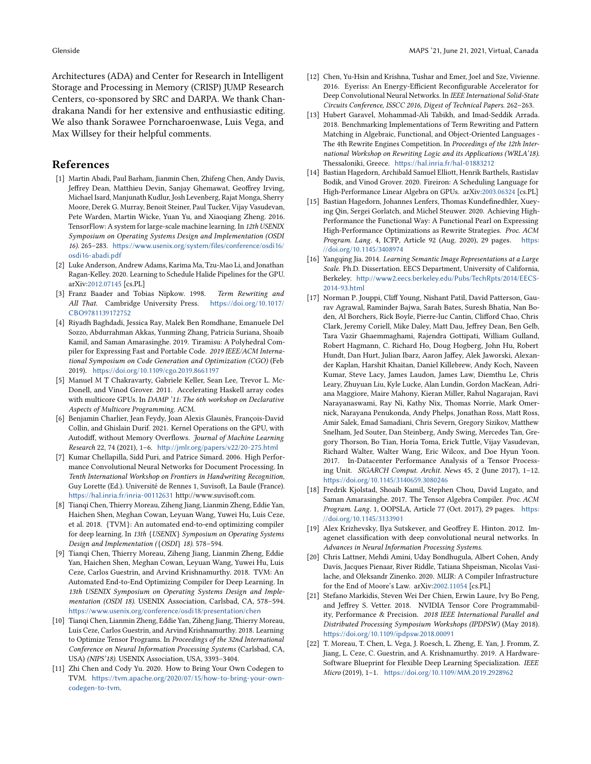Architectures (ADA) and Center for Research in Intelligent Storage and Processing in Memory (CRISP) JUMP Research Centers, co-sponsored by SRC and DARPA. We thank Chandrakana Nandi for her extensive and enthusiastic editing. We also thank Sorawee Porncharoenwase, Luis Vega, and Max Willsey for their helpful comments.

## References

- <span id="page-8-3"></span>[1] Martin Abadi, Paul Barham, Jianmin Chen, Zhifeng Chen, Andy Davis, Jeffrey Dean, Matthieu Devin, Sanjay Ghemawat, Geoffrey Irving, Michael Isard, Manjunath Kudlur, Josh Levenberg, Rajat Monga, Sherry Moore, Derek G. Murray, Benoit Steiner, Paul Tucker, Vijay Vasudevan, Pete Warden, Martin Wicke, Yuan Yu, and Xiaoqiang Zheng. 2016. TensorFlow: A system for large-scale machine learning. In 12th USENIX Symposium on Operating Systems Design and Implementation (OSDI 16). 265–283. [https://www.usenix.org/system/files/conference/osdi16/](https://www.usenix.org/system/files/conference/osdi16/osdi16-abadi.pdf) [osdi16-abadi.pdf](https://www.usenix.org/system/files/conference/osdi16/osdi16-abadi.pdf)
- <span id="page-8-16"></span>[2] Luke Anderson, Andrew Adams, Karima Ma, Tzu-Mao Li, and Jonathan Ragan-Kelley. 2020. Learning to Schedule Halide Pipelines for the GPU. arXiv[:2012.07145](https://arxiv.org/abs/2012.07145) [cs.PL]
- <span id="page-8-6"></span>[3] Franz Baader and Tobias Nipkow. 1998. Term Rewriting and All That. Cambridge University Press. [https://doi.org/10.1017/](https://doi.org/10.1017/CBO9781139172752) [CBO9781139172752](https://doi.org/10.1017/CBO9781139172752)
- <span id="page-8-20"></span>[4] Riyadh Baghdadi, Jessica Ray, Malek Ben Romdhane, Emanuele Del Sozzo, Abdurrahman Akkas, Yunming Zhang, Patricia Suriana, Shoaib Kamil, and Saman Amarasinghe. 2019. Tiramisu: A Polyhedral Compiler for Expressing Fast and Portable Code. 2019 IEEE/ACM International Symposium on Code Generation and Optimization (CGO) (Feb 2019). <https://doi.org/10.1109/cgo.2019.8661197>
- <span id="page-8-15"></span>[5] Manuel M T Chakravarty, Gabriele Keller, Sean Lee, Trevor L. Mc-Donell, and Vinod Grover. 2011. Accelerating Haskell array codes with multicore GPUs. In DAMP '11: The 6th workshop on Declarative Aspects of Multicore Programming. ACM.
- <span id="page-8-19"></span>[6] Benjamin Charlier, Jean Feydy, Joan Alexis Glaunès, François-David Collin, and Ghislain Durif. 2021. Kernel Operations on the GPU, with Autodiff, without Memory Overflows. Journal of Machine Learning Research 22, 74 (2021), 1–6. <http://jmlr.org/papers/v22/20-275.html>
- <span id="page-8-8"></span>[7] Kumar Chellapilla, Sidd Puri, and Patrice Simard. 2006. High Performance Convolutional Neural Networks for Document Processing. In Tenth International Workshop on Frontiers in Handwriting Recognition, Guy Lorette (Ed.). Université de Rennes 1, Suvisoft, La Baule (France). <https://hal.inria.fr/inria-00112631> http://www.suvisoft.com.
- <span id="page-8-13"></span>[8] Tianqi Chen, Thierry Moreau, Ziheng Jiang, Lianmin Zheng, Eddie Yan, Haichen Shen, Meghan Cowan, Leyuan Wang, Yuwei Hu, Luis Ceze, et al. 2018. {TVM}: An automated end-to-end optimizing compiler for deep learning. In 13th {USENIX} Symposium on Operating Systems Design and Implementation ({OSDI} 18). 578–594.
- <span id="page-8-2"></span>[9] Tianqi Chen, Thierry Moreau, Ziheng Jiang, Lianmin Zheng, Eddie Yan, Haichen Shen, Meghan Cowan, Leyuan Wang, Yuwei Hu, Luis Ceze, Carlos Guestrin, and Arvind Krishnamurthy. 2018. TVM: An Automated End-to-End Optimizing Compiler for Deep Learning. In 13th USENIX Symposium on Operating Systems Design and Implementation (OSDI 18). USENIX Association, Carlsbad, CA, 578–594. <https://www.usenix.org/conference/osdi18/presentation/chen>
- <span id="page-8-17"></span>[10] Tianqi Chen, Lianmin Zheng, Eddie Yan, Ziheng Jiang, Thierry Moreau, Luis Ceze, Carlos Guestrin, and Arvind Krishnamurthy. 2018. Learning to Optimize Tensor Programs. In Proceedings of the 32nd International Conference on Neural Information Processing Systems (Carlsbad, CA, USA) (NIPS'18). USENIX Association, USA, 3393–3404.
- <span id="page-8-5"></span>[11] Zhi Chen and Cody Yu. 2020. How to Bring Your Own Codegen to TVM. [https://tvm.apache.org/2020/07/15/how-to-bring-your-own](https://tvm.apache.org/2020/07/15/how-to-bring-your-own-codegen-to-tvm)[codegen-to-tvm](https://tvm.apache.org/2020/07/15/how-to-bring-your-own-codegen-to-tvm).
- <span id="page-8-9"></span>[12] Chen, Yu-Hsin and Krishna, Tushar and Emer, Joel and Sze, Vivienne. 2016. Eyeriss: An Energy-Efficient Reconfigurable Accelerator for Deep Convolutional Neural Networks. In IEEE International Solid-State Circuits Conference, ISSCC 2016, Digest of Technical Papers. 262–263.
- <span id="page-8-21"></span>[13] Hubert Garavel, Mohammad-Ali Tabikh, and Imad-Seddik Arrada. 2018. Benchmarking Implementations of Term Rewriting and Pattern Matching in Algebraic, Functional, and Object-Oriented Languages - The 4th Rewrite Engines Competition. In Proceedings of the 12th International Workshop on Rewriting Logic and its Applications (WRLA'18). Thessaloniki, Greece. <https://hal.inria.fr/hal-01883212>
- <span id="page-8-14"></span>[14] Bastian Hagedorn, Archibald Samuel Elliott, Henrik Barthels, Rastislav Bodik, and Vinod Grover. 2020. Fireiron: A Scheduling Language for High-Performance Linear Algebra on GPUs. arXiv[:2003.06324](https://arxiv.org/abs/2003.06324) [cs.PL]
- <span id="page-8-7"></span>[15] Bastian Hagedorn, Johannes Lenfers, Thomas Kundefinedhler, Xueying Qin, Sergei Gorlatch, and Michel Steuwer. 2020. Achieving High-Performance the Functional Way: A Functional Pearl on Expressing High-Performance Optimizations as Rewrite Strategies. Proc. ACM Program. Lang. 4, ICFP, Article 92 (Aug. 2020), 29 pages. [https:](https://doi.org/10.1145/3408974) [//doi.org/10.1145/3408974](https://doi.org/10.1145/3408974)
- <span id="page-8-12"></span>[16] Yangqing Jia. 2014. Learning Semantic Image Representations at a Large Scale. Ph.D. Dissertation. EECS Department, University of California, Berkeley. [http://www2.eecs.berkeley.edu/Pubs/TechRpts/2014/EECS-](http://www2.eecs.berkeley.edu/Pubs/TechRpts/2014/EECS-2014-93.html)[2014-93.html](http://www2.eecs.berkeley.edu/Pubs/TechRpts/2014/EECS-2014-93.html)
- <span id="page-8-0"></span>[17] Norman P. Jouppi, Cliff Young, Nishant Patil, David Patterson, Gaurav Agrawal, Raminder Bajwa, Sarah Bates, Suresh Bhatia, Nan Boden, Al Borchers, Rick Boyle, Pierre-luc Cantin, Clifford Chao, Chris Clark, Jeremy Coriell, Mike Daley, Matt Dau, Jeffrey Dean, Ben Gelb, Tara Vazir Ghaemmaghami, Rajendra Gottipati, William Gulland, Robert Hagmann, C. Richard Ho, Doug Hogberg, John Hu, Robert Hundt, Dan Hurt, Julian Ibarz, Aaron Jaffey, Alek Jaworski, Alexander Kaplan, Harshit Khaitan, Daniel Killebrew, Andy Koch, Naveen Kumar, Steve Lacy, James Laudon, James Law, Diemthu Le, Chris Leary, Zhuyuan Liu, Kyle Lucke, Alan Lundin, Gordon MacKean, Adriana Maggiore, Maire Mahony, Kieran Miller, Rahul Nagarajan, Ravi Narayanaswami, Ray Ni, Kathy Nix, Thomas Norrie, Mark Omernick, Narayana Penukonda, Andy Phelps, Jonathan Ross, Matt Ross, Amir Salek, Emad Samadiani, Chris Severn, Gregory Sizikov, Matthew Snelham, Jed Souter, Dan Steinberg, Andy Swing, Mercedes Tan, Gregory Thorson, Bo Tian, Horia Toma, Erick Tuttle, Vijay Vasudevan, Richard Walter, Walter Wang, Eric Wilcox, and Doe Hyun Yoon. 2017. In-Datacenter Performance Analysis of a Tensor Processing Unit. SIGARCH Comput. Archit. News 45, 2 (June 2017), 1–12. <https://doi.org/10.1145/3140659.3080246>
- <span id="page-8-18"></span>[18] Fredrik Kjolstad, Shoaib Kamil, Stephen Chou, David Lugato, and Saman Amarasinghe. 2017. The Tensor Algebra Compiler. Proc. ACM Program. Lang. 1, OOPSLA, Article 77 (Oct. 2017), 29 pages. [https:](https://doi.org/10.1145/3133901) [//doi.org/10.1145/3133901](https://doi.org/10.1145/3133901)
- <span id="page-8-1"></span>[19] Alex Krizhevsky, Ilya Sutskever, and Geoffrey E. Hinton. 2012. Imagenet classification with deep convolutional neural networks. In Advances in Neural Information Processing Systems.
- <span id="page-8-4"></span>[20] Chris Lattner, Mehdi Amini, Uday Bondhugula, Albert Cohen, Andy Davis, Jacques Pienaar, River Riddle, Tatiana Shpeisman, Nicolas Vasilache, and Oleksandr Zinenko. 2020. MLIR: A Compiler Infrastructure for the End of Moore's Law. arXiv[:2002.11054](https://arxiv.org/abs/2002.11054) [cs.PL]
- <span id="page-8-10"></span>[21] Stefano Markidis, Steven Wei Der Chien, Erwin Laure, Ivy Bo Peng, and Jeffrey S. Vetter. 2018. NVIDIA Tensor Core Programmability, Performance & Precision. 2018 IEEE International Parallel and Distributed Processing Symposium Workshops (IPDPSW) (May 2018). <https://doi.org/10.1109/ipdpsw.2018.00091>
- <span id="page-8-11"></span>[22] T. Moreau, T. Chen, L. Vega, J. Roesch, L. Zheng, E. Yan, J. Fromm, Z. Jiang, L. Ceze, C. Guestrin, and A. Krishnamurthy. 2019. A Hardware-Software Blueprint for Flexible Deep Learning Specialization. IEEE Micro (2019), 1–1. <https://doi.org/10.1109/MM.2019.2928962>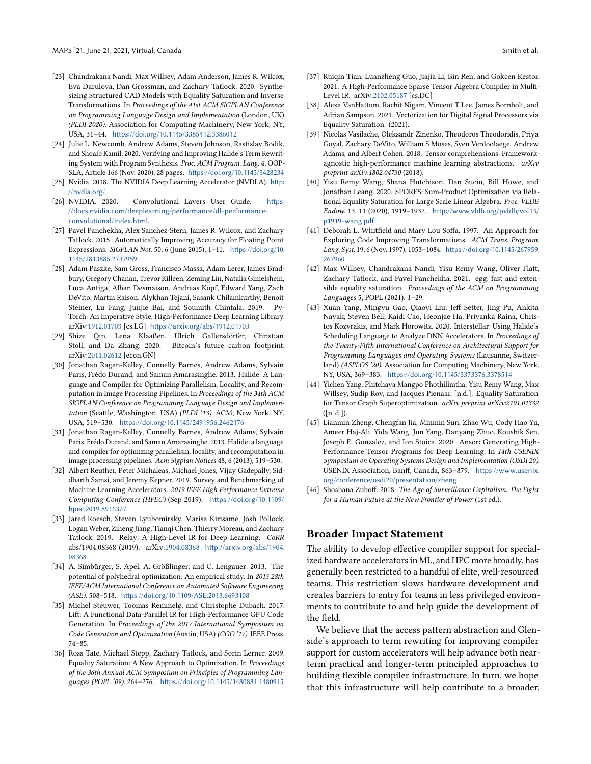- <span id="page-9-17"></span>[23] Chandrakana Nandi, Max Willsey, Adam Anderson, James R. Wilcox, Eva Darulova, Dan Grossman, and Zachary Tatlock. 2020. Synthesizing Structured CAD Models with Equality Saturation and Inverse Transformations. In Proceedings of the 41st ACM SIGPLAN Conference on Programming Language Design and Implementation (London, UK) (PLDI 2020). Association for Computing Machinery, New York, NY, USA, 31–44. <https://doi.org/10.1145/3385412.3386012>
- <span id="page-9-5"></span>[24] Julie L. Newcomb, Andrew Adams, Steven Johnson, Rastislav Bodik, and Shoaib Kamil. 2020. Verifying and Improving Halide's Term Rewriting System with Program Synthesis. Proc. ACM Program. Lang. 4, OOP-SLA, Article 166 (Nov. 2020), 28 pages. <https://doi.org/10.1145/3428234>
- <span id="page-9-9"></span>[25] Nvidia. 2018. The NVIDIA Deep Learning Accelerator (NVDLA). [http:](http://nvdla.org/) [//nvdla.org/](http://nvdla.org/).
- <span id="page-9-4"></span>[26] NVIDIA. 2020. Convolutional Layers User Guide. [https:](https://docs.nvidia.com/deeplearning/performance/dl-performance-convolutional/index.html) [//docs.nvidia.com/deeplearning/performance/dl-performance](https://docs.nvidia.com/deeplearning/performance/dl-performance-convolutional/index.html)[convolutional/index.html](https://docs.nvidia.com/deeplearning/performance/dl-performance-convolutional/index.html).
- <span id="page-9-18"></span>[27] Pavel Panchekha, Alex Sanchez-Stern, James R. Wilcox, and Zachary Tatlock. 2015. Automatically Improving Accuracy for Floating Point Expressions. SIGPLAN Not. 50, 6 (June 2015), 1–11. [https://doi.org/10.](https://doi.org/10.1145/2813885.2737959) [1145/2813885.2737959](https://doi.org/10.1145/2813885.2737959)
- <span id="page-9-2"></span>[28] Adam Paszke, Sam Gross, Francisco Massa, Adam Lerer, James Bradbury, Gregory Chanan, Trevor Killeen, Zeming Lin, Natalia Gimelshein, Luca Antiga, Alban Desmaison, Andreas Köpf, Edward Yang, Zach DeVito, Martin Raison, Alykhan Tejani, Sasank Chilamkurthy, Benoit Steiner, Lu Fang, Junjie Bai, and Soumith Chintala. 2019. Py-Torch: An Imperative Style, High-Performance Deep Learning Library. arXiv[:1912.01703](https://arxiv.org/abs/1912.01703) [cs.LG] <https://arxiv.org/abs/1912.01703>
- <span id="page-9-22"></span>[29] Shize Qin, Lena Klaaßen, Ulrich Gallersdörfer, Christian Stoll, and Da Zhang. 2020. Bitcoin's future carbon footprint. arXiv[:2011.02612](https://arxiv.org/abs/2011.02612) [econ.GN]
- <span id="page-9-1"></span>[30] Jonathan Ragan-Kelley, Connelly Barnes, Andrew Adams, Sylvain Paris, Frédo Durand, and Saman Amarasinghe. 2013. Halide: A Language and Compiler for Optimizing Parallelism, Locality, and Recomputation in Image Processing Pipelines. In Proceedings of the 34th ACM SIGPLAN Conference on Programming Language Design and Implementation (Seattle, Washington, USA) (PLDI '13). ACM, New York, NY, USA, 519–530. <https://doi.org/10.1145/2491956.2462176>
- <span id="page-9-10"></span>[31] Jonathan Ragan-Kelley, Connelly Barnes, Andrew Adams, Sylvain Paris, Frédo Durand, and Saman Amarasinghe. 2013. Halide: a language and compiler for optimizing parallelism, locality, and recomputation in image processing pipelines. Acm Sigplan Notices 48, 6 (2013), 519–530.
- <span id="page-9-0"></span>[32] Albert Reuther, Peter Michaleas, Michael Jones, Vijay Gadepally, Siddharth Samsi, and Jeremy Kepner. 2019. Survey and Benchmarking of Machine Learning Accelerators. 2019 IEEE High Performance Extreme Computing Conference (HPEC) (Sep 2019). [https://doi.org/10.1109/](https://doi.org/10.1109/hpec.2019.8916327) [hpec.2019.8916327](https://doi.org/10.1109/hpec.2019.8916327)
- <span id="page-9-6"></span>[33] Jared Roesch, Steven Lyubomirsky, Marisa Kirisame, Josh Pollock, Logan Weber, Ziheng Jiang, Tianqi Chen, Thierry Moreau, and Zachary Tatlock. 2019. Relay: A High-Level IR for Deep Learning. CoRR abs/1904.08368 (2019). arXiv[:1904.08368](https://arxiv.org/abs/1904.08368) [http://arxiv.org/abs/1904.](http://arxiv.org/abs/1904.08368) [08368](http://arxiv.org/abs/1904.08368)
- <span id="page-9-14"></span>[34] A. Simbürger, S. Apel, A. Größlinger, and C. Lengauer. 2013. The potential of polyhedral optimization: An empirical study. In 2013 28th IEEE/ACM International Conference on Automated Software Engineering (ASE). 508–518. <https://doi.org/10.1109/ASE.2013.6693108>
- <span id="page-9-11"></span>[35] Michel Steuwer, Toomas Remmelg, and Christophe Dubach. 2017. Lift: A Functional Data-Parallel IR for High-Performance GPU Code Generation. In Proceedings of the 2017 International Symposium on Code Generation and Optimization (Austin, USA) (CGO '17). IEEE Press, 74–85.
- <span id="page-9-16"></span>[36] Ross Tate, Michael Stepp, Zachary Tatlock, and Sorin Lerner. 2009. Equality Saturation: A New Approach to Optimization. In Proceedings of the 36th Annual ACM Symposium on Principles of Programming Languages (POPL '09). 264–276. <https://doi.org/10.1145/1480881.1480915>
- <span id="page-9-13"></span>[37] Ruiqin Tian, Luanzheng Guo, Jiajia Li, Bin Ren, and Gokcen Kestor. 2021. A High-Performance Sparse Tensor Algebra Compiler in Multi-Level IR. arXiv[:2102.05187](https://arxiv.org/abs/2102.05187) [cs.DC]
- <span id="page-9-20"></span>[38] Alexa VanHattum, Rachit Nigam, Vincent T Lee, James Bornholt, and Adrian Sampson. 2021. Vectorization for Digital Signal Processors via Equality Saturation. (2021).
- <span id="page-9-15"></span>[39] Nicolas Vasilache, Oleksandr Zinenko, Theodoros Theodoridis, Priya Goyal, Zachary DeVito, William S Moses, Sven Verdoolaege, Andrew Adams, and Albert Cohen. 2018. Tensor comprehensions: Frameworkagnostic high-performance machine learning abstractions. arXiv preprint arXiv:1802.04730 (2018).
- <span id="page-9-19"></span>[40] Yisu Remy Wang, Shana Hutchison, Dan Suciu, Bill Howe, and Jonathan Leang. 2020. SPORES: Sum-Product Optimization via Relational Equality Saturation for Large Scale Linear Algebra. Proc. VLDB Endow. 13, 11 (2020), 1919–1932. [http://www.vldb.org/pvldb/vol13/](http://www.vldb.org/pvldb/vol13/p1919-wang.pdf) [p1919-wang.pdf](http://www.vldb.org/pvldb/vol13/p1919-wang.pdf)
- <span id="page-9-8"></span>[41] Deborah L. Whitfield and Mary Lou Soffa. 1997. An Approach for Exploring Code Improving Transformations. ACM Trans. Program. Lang. Syst. 19, 6 (Nov. 1997), 1053–1084. [https://doi.org/10.1145/267959.](https://doi.org/10.1145/267959.267960) [267960](https://doi.org/10.1145/267959.267960)
- <span id="page-9-7"></span>[42] Max Willsey, Chandrakana Nandi, Yisu Remy Wang, Oliver Flatt, Zachary Tatlock, and Pavel Panchekha. 2021. egg: fast and extensible equality saturation. Proceedings of the ACM on Programming Languages 5, POPL (2021), 1–29.
- <span id="page-9-3"></span>[43] Xuan Yang, Mingyu Gao, Qiaoyi Liu, Jeff Setter, Jing Pu, Ankita Nayak, Steven Bell, Kaidi Cao, Heonjae Ha, Priyanka Raina, Christos Kozyrakis, and Mark Horowitz. 2020. Interstellar: Using Halide's Scheduling Language to Analyze DNN Accelerators. In Proceedings of the Twenty-Fifth International Conference on Architectural Support for Programming Languages and Operating Systems (Lausanne, Switzerland) (ASPLOS '20). Association for Computing Machinery, New York, NY, USA, 369–383. <https://doi.org/10.1145/3373376.3378514>
- <span id="page-9-21"></span>[44] Yichen Yang, Phitchaya Mangpo Phothilimtha, Yisu Remy Wang, Max Willsey, Sudip Roy, and Jacques Pienaar. [n.d.]. Equality Saturation for Tensor Graph Superoptimization. arXiv preprint arXiv:2101.01332 ([n. d.]).
- <span id="page-9-12"></span>[45] Lianmin Zheng, Chengfan Jia, Minmin Sun, Zhao Wu, Cody Hao Yu, Ameer Haj-Ali, Yida Wang, Jun Yang, Danyang Zhuo, Koushik Sen, Joseph E. Gonzalez, and Ion Stoica. 2020. Ansor: Generating High-Performance Tensor Programs for Deep Learning. In 14th USENIX Symposium on Operating Systems Design and Implementation (OSDI 20). USENIX Association, Banff, Canada, 863–879. [https://www.usenix.](https://www.usenix.org/conference/osdi20/presentation/zheng) [org/conference/osdi20/presentation/zheng](https://www.usenix.org/conference/osdi20/presentation/zheng)
- <span id="page-9-23"></span>[46] Shoshana Zuboff. 2018. The Age of Surveillance Capitalism: The Fight for a Human Future at the New Frontier of Power (1st ed.).

## Broader Impact Statement

The ability to develop effective compiler support for specialized hardware accelerators in ML, and HPC more broadly, has generally been restricted to a handful of elite, well-resourced teams. This restriction slows hardware development and creates barriers to entry for teams in less privileged environments to contribute to and help guide the development of the field.

We believe that the access pattern abstraction and Glenside's approach to term rewriting for improving compiler support for custom accelerators will help advance both nearterm practical and longer-term principled approaches to building flexible compiler infrastructure. In turn, we hope that this infrastructure will help contribute to a broader,